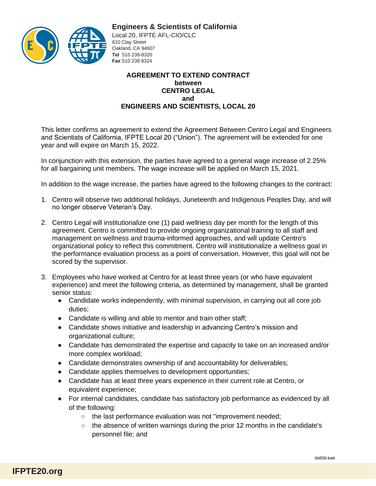

## **Engineers & Scientists of California**

Local 20, IFPTE AFL-CIO/CLC 810 Clay Street Oakland, CA 94607 **Tel** 510 238-8320 **Fax** 510 238 8324

## **AGREEMENT TO EXTEND CONTRACT between CENTRO LEGAL and ENGINEERS AND SCIENTISTS, LOCAL 20**

This letter confirms an agreement to extend the Agreement Between Centro Legal and Engineers and Scientists of California, IFPTE Local 20 ("Union"). The agreement will be extended for one year and will expire on March 15, 2022.

In conjunction with this extension, the parties have agreed to a general wage increase of 2.25% for all bargaining unit members. The wage increase will be applied on March 15, 2021.

In addition to the wage increase, the parties have agreed to the following changes to the contract:

- 1. Centro will observe two additional holidays, Juneteenth and Indigenous Peoples Day, and will no longer observe Veteran's Day.
- 2. Centro Legal will institutionalize one (1) paid wellness day per month for the length of this agreement. Centro is committed to provide ongoing organizational training to all staff and management on wellness and trauma-informed approaches, and will update Centro's organizational policy to reflect this commitment. Centro will institutionalize a wellness goal in the performance evaluation process as a point of conversation. However, this goal will not be scored by the supervisor.
- 3. Employees who have worked at Centro for at least three years (or who have equivalent experience) and meet the following criteria, as determined by management, shall be granted senior status:
	- Candidate works independently, with minimal supervision, in carrying out all core job duties;
	- Candidate is willing and able to mentor and train other staff;
	- Candidate shows initiative and leadership in advancing Centro's mission and organizational culture;
	- Candidate has demonstrated the expertise and capacity to take on an increased and/or more complex workload;
	- Candidate demonstrates ownership of and accountability for deliverables;
	- Candidate applies themselves to development opportunities;
	- Candidate has at least three years experience in their current role at Centro, or equivalent experience;
	- For internal candidates, candidate has satisfactory job performance as evidenced by all of the following:
		- the last performance evaluation was not "improvement needed;
		- the absence of written warnings during the prior 12 months in the candidate's personnel file; and